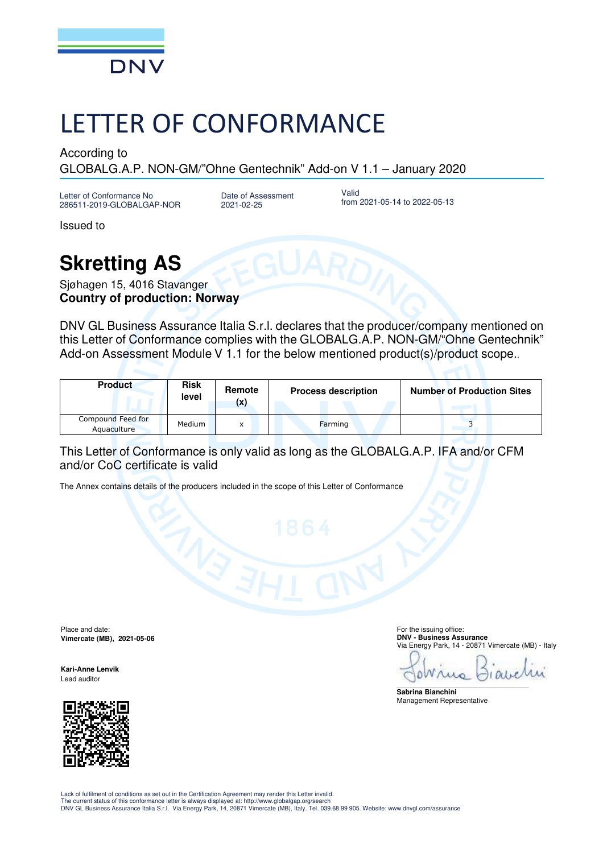

## LETTER OF CONFORMANCE

According to

GLOBALG.A.P. NON-GM/"Ohne Gentechnik" Add-on V 1.1 – January 2020

Letter of Conformance No 286511-2019-GLOBALGAP-NOR

Date of Assessment 2021-02-25

Valid from 2021-05-14 to 2022-05-13

Issued to

## **Skretting AS**

Sjøhagen 15, 4016 Stavanger **Country of production: Norway**

DNV GL Business Assurance Italia S.r.l. declares that the producer/company mentioned on this Letter of Conformance complies with the GLOBALG.A.P. NON-GM/"Ohne Gentechnik" Add-on Assessment Module V 1.1 for the below mentioned product(s)/product scope...

| <b>Product</b>                   | <b>Risk</b><br>level | Remote<br>(x) | <b>Process description</b> | <b>Number of Production Sites</b> |
|----------------------------------|----------------------|---------------|----------------------------|-----------------------------------|
| Compound Feed for<br>Aquaculture | Medium               | x             | Farming                    |                                   |

## This Letter of Conformance is only valid as long as the GLOBALG.A.P. IFA and/or CFM and/or CoC certificate is valid

The Annex contains details of the producers included in the scope of this Letter of Conformance

Place and date: **Vimercate (MB), 2021-05-06** 

**Kari-Anne Lenvik**  Lead auditor



 For the issuing office: **DNV - Business Assurance**  Via Energy Park, 14 - 20871 Vimercate (MB) - Italy

OWru  $101$ 

\_\_\_\_\_\_\_\_\_\_\_\_\_\_\_\_\_\_\_\_\_\_\_\_\_\_\_\_\_\_\_\_\_\_\_\_\_\_\_\_\_\_\_\_\_\_\_\_\_\_\_\_\_\_\_\_\_\_\_\_\_\_\_\_\_\_\_\_\_\_\_\_\_\_\_\_\_\_ **Sabrina Bianchini**  Management Representative

Lack of fulfilment of conditions as set out in the Certification Agreement may render this Letter invalid. The current status of this conformance letter is always displayed at: http://www.globalgap.org/search<br>DNV GL Business Assurance Italia S.r.I. Via Energy Park, 14, 20871 Vimercate (MB), Italy. Tel. 039.68 99 905. Website: